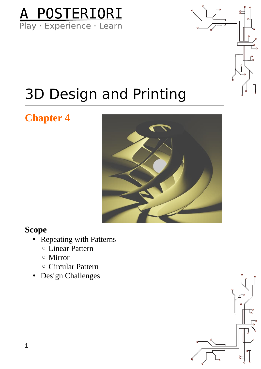



### 3D Design and Printing

### **Chapter 4**



#### **Scope**

- Repeating with Patterns
	- Linear Pattern
	- Mirror
	- Circular Pattern
- Design Challenges

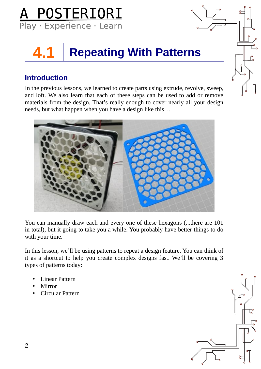

### **4.1 Repeating With Patterns**

#### **Introduction**

In the previous lessons, we learned to create parts using extrude, revolve, sweep, and loft. We also learn that each of these steps can be used to add or remove materials from the design. That's really enough to cover nearly all your design needs, but what happen when you have a design like this…



You can manually draw each and every one of these hexagons (...there are 101 in total), but it going to take you a while. You probably have better things to do with your time.

In this lesson, we'll be using patterns to repeat a design feature. You can think of it as a shortcut to help you create complex designs fast. We'll be covering 3 types of patterns today:

- Linear Pattern
- **Mirror**
- Circular Pattern

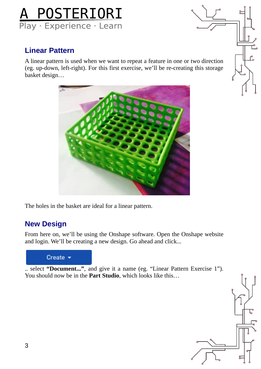

#### **Linear Pattern**

A linear pattern is used when we want to repeat a feature in one or two direction (eg. up-down, left-right). For this first exercise, we'll be re-creating this storage basket design…



The holes in the basket are ideal for a linear pattern.

#### **New Design**

From here on, we'll be using the Onshape software. Open the Onshape website and login. We'll be creating a new design. Go ahead and click...

#### Create  $\sim$

.. select **"Document..."**, and give it a name (eg. "Linear Pattern Exercise 1"). You should now be in the **Part Studio**, which looks like this…

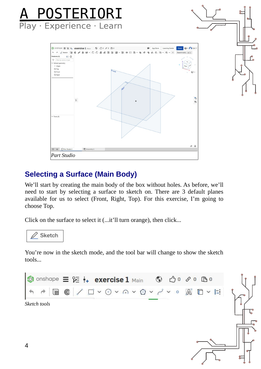

#### **Selecting a Surface (Main Body)**

We'll start by creating the main body of the box without holes. As before, we'll need to start by selecting a surface to sketch on. There are 3 default planes available for us to select (Front, Right, Top). For this exercise, I'm going to choose Top.

Click on the surface to select it (...it'll turn orange), then click...



You're now in the sketch mode, and the tool bar will change to show the sketch tools...

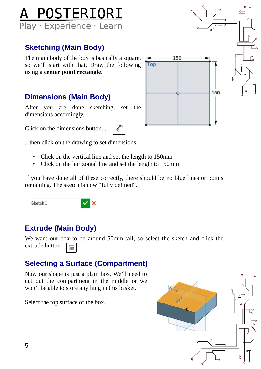

#### **Sketching (Main Body)**

The main body of the box is basically a square, so we'll start with that. Draw the following using a **center point rectangle**.

#### **Dimensions (Main Body)**

After you are done sketching, set the dimensions accordingly.

Click on the dimensions button...



...then click on the drawing to set dimensions.

- Click on the vertical line and set the length to 150mm
- Click on the horizontal line and set the length to 150mm

If you have done all of these correctly, there should be no blue lines or points remaining. The sketch is now "fully defined".

Sketch<sub>1</sub>

#### **Extrude (Main Body)**

We want our box to be around 50mm tall, so select the sketch and click the extrude button.

#### **Selecting a Surface (Compartment)**

 $\vee$  x

Now our shape is just a plain box. We'll need to cut out the compartment in the middle or we won't be able to store anything in this basket.

Select the top surface of the box.



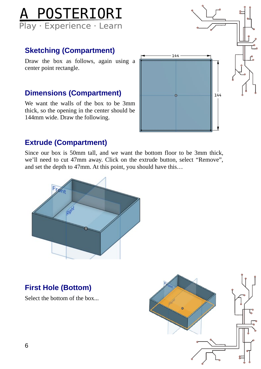

#### **Sketching (Compartment)**

Draw the box as follows, again using a center point rectangle.

#### **Dimensions (Compartment)**

We want the walls of the box to be 3mm thick, so the opening in the center should be 144mm wide. Draw the following.



#### **Extrude (Compartment)**

Since our box is 50mm tall, and we want the bottom floor to be 3mm thick, we'll need to cut 47mm away. Click on the extrude button, select "Remove", and set the depth to 47mm. At this point, you should have this…



#### **First Hole (Bottom)**

Select the bottom of the box...

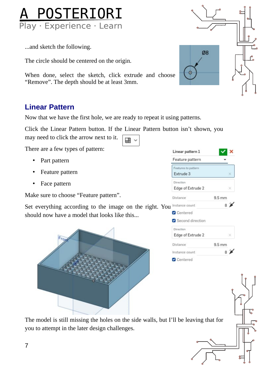

...and sketch the following.

The circle should be centered on the origin.

When done, select the sketch, click extrude and choose "Remove". The depth should be at least 3mm.

#### **Linear Pattern**

Now that we have the first hole, we are ready to repeat it using patterns.

Click the Linear Pattern button. If the Linear Pattern button isn't shown, you

里

There are a few types of pattern:

may need to click the arrow next to it.

- Part pattern
- Feature pattern
- Face pattern

Make sure to choose "Feature pattern".

Set everything according to the image on the right. You should now have a model that looks like this...



| Feature pattern     |                  |                 |
|---------------------|------------------|-----------------|
| Features to pattern |                  |                 |
| Extrude 3           |                  |                 |
| Direction           |                  |                 |
| Edge of Extrude 2   |                  |                 |
| <b>Distance</b>     | $9.5 \text{ mm}$ |                 |
| Instance count      |                  | 8 <b>K</b>      |
| <b>O</b> Centered   |                  |                 |
| Second direction    |                  |                 |
| Direction           |                  |                 |
| Edge of Extrude 2   |                  | - 32            |
| Distance            | $9.5 \text{ mm}$ |                 |
| Instance count      |                  | $8\not\!\equiv$ |
| <b>O</b> Centered   |                  |                 |

The model is still missing the holes on the side walls, but I'll be leaving that for you to attempt in the later design challenges.

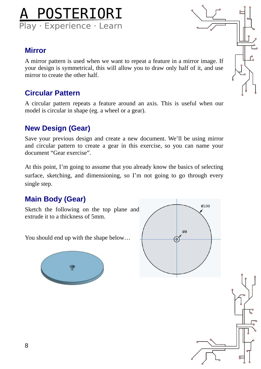## A POSTERIORI<br>Play Experience Learn

#### **Mirror**

A mirror pattern is used when we want to repeat a feature in a mirror image. If your design is symmetrical, this will allow you to draw only half of it, and use mirror to create the other half.

#### **Circular Pattern**

A circular pattern repeats a feature around an axis. This is useful when our model is circular in shape (eg. a wheel or a gear).

#### **New Design (Gear)**

Save your previous design and create a new document. We'll be using mirror and circular pattern to create a gear in this exercise, so you can name your document "Gear exercise".

At this point, I'm going to assume that you already know the basics of selecting surface, sketching, and dimensioning, so I'm not going to go through every single step.

#### **Main Body (Gear)**

Sketch the following on the top plane and extrude it to a thickness of 5mm.

You should end up with the shape below…







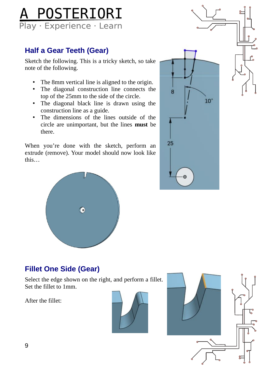## A POSTERIORI

#### **Half a Gear Teeth (Gear)**

Sketch the following. This is a tricky sketch, so take note of the following.

- The 8mm vertical line is aligned to the origin.
- The diagonal construction line connects the top of the 25mm to the side of the circle.
- The diagonal black line is drawn using the construction line as a guide.
- The dimensions of the lines outside of the circle are unimportant, but the lines **must** be there.

When you're done with the sketch, perform an extrude (remove). Your model should now look like this…





#### **Fillet One Side (Gear)**

Select the edge shown on the right, and perform a fillet. Set the fillet to 1mm.

After the fillet:



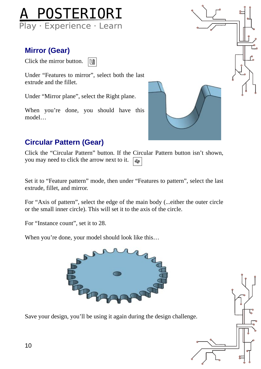

#### **Mirror (Gear)**

Click the mirror button. n

Under "Features to mirror", select both the last extrude and the fillet.

Under "Mirror plane", select the Right plane.

When you're done, you should have this model…



#### **Circular Pattern (Gear)**

Click the "Circular Pattern" button. If the Circular Pattern button isn't shown, you may need to click the arrow next to it. ෯෧

Set it to "Feature pattern" mode, then under "Features to pattern", select the last extrude, fillet, and mirror.

For "Axis of pattern", select the edge of the main body (...either the outer circle or the small inner circle). This will set it to the axis of the circle.

For "Instance count", set it to 28.

When you're done, your model should look like this…



Save your design, you'll be using it again during the design challenge.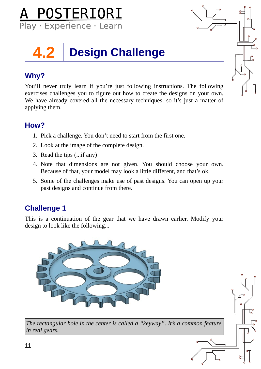

## **4.2 Design Challenge**

#### **Why?**

You'll never truly learn if you're just following instructions. The following exercises challenges you to figure out how to create the designs on your own. We have already covered all the necessary techniques, so it's just a matter of applying them.

#### **How?**

- 1. Pick a challenge. You don't need to start from the first one.
- 2. Look at the image of the complete design.
- 3. Read the tips (...if any)
- 4. Note that dimensions are not given. You should choose your own. Because of that, your model may look a little different, and that's ok.
- 5. Some of the challenges make use of past designs. You can open up your past designs and continue from there.

#### **Challenge 1**

This is a continuation of the gear that we have drawn earlier. Modify your design to look like the following...



*The rectangular hole in the center is called a "keyway". It's a common feature in real gears.*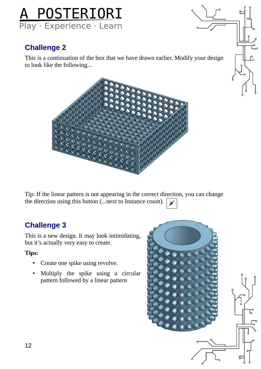

#### **Challenge 2**

This is a continuation of the box that we have drawn earlier. Modify your design to look like the following...



Tip: If the linear pattern is not appearing in the correct direction, you can change the direction using this button (...next to Instance count).

#### **Challenge 3**

This is a new design. It may look intimidating, but it's actually very easy to create.

**Tips:**

- Create one spike using revolve.
- Multiply the spike using a circular pattern followed by a linear pattern